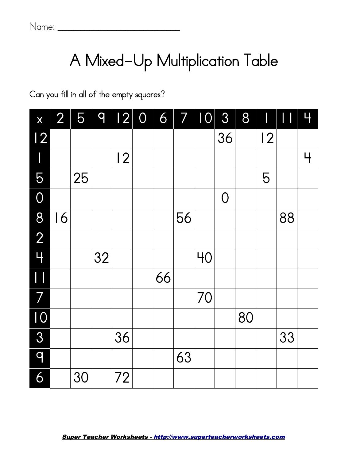## A Mixed-Up Multiplication Table

Can you fill in all of the empty squares?

<span id="page-0-0"></span>

| X                                     | 2 <sup>1</sup> | 59 |    | 12 0 6 7 10    |    |    |    | 8              | 8  |    |    | Ц |
|---------------------------------------|----------------|----|----|----------------|----|----|----|----------------|----|----|----|---|
| $\overline{12}$                       |                |    |    |                |    |    |    | 36             |    | 12 |    |   |
|                                       |                |    |    | $\overline{2}$ |    |    |    |                |    |    |    | Ч |
| 5                                     |                | 25 |    |                |    |    |    |                |    | 5  |    |   |
| $\overline{0}$                        |                |    |    |                |    |    |    | $\overline{O}$ |    |    |    |   |
| 8                                     | 16             |    |    |                |    | 56 |    |                |    |    | 88 |   |
| $\overline{2}$                        |                |    |    |                |    |    |    |                |    |    |    |   |
| $\overline{4}$                        |                |    | 32 |                |    |    | 40 |                |    |    |    |   |
| $\begin{array}{c} \hline \end{array}$ |                |    |    |                | 66 |    |    |                |    |    |    |   |
| 7                                     |                |    |    |                |    |    | 70 |                |    |    |    |   |
| 10                                    |                |    |    |                |    |    |    |                | 80 |    |    |   |
| 3                                     |                |    |    | 36             |    |    |    |                |    |    | 33 |   |
| 9                                     |                |    |    |                |    | 63 |    |                |    |    |    |   |
| 6                                     |                | 30 |    | 72             |    |    |    |                |    |    |    |   |